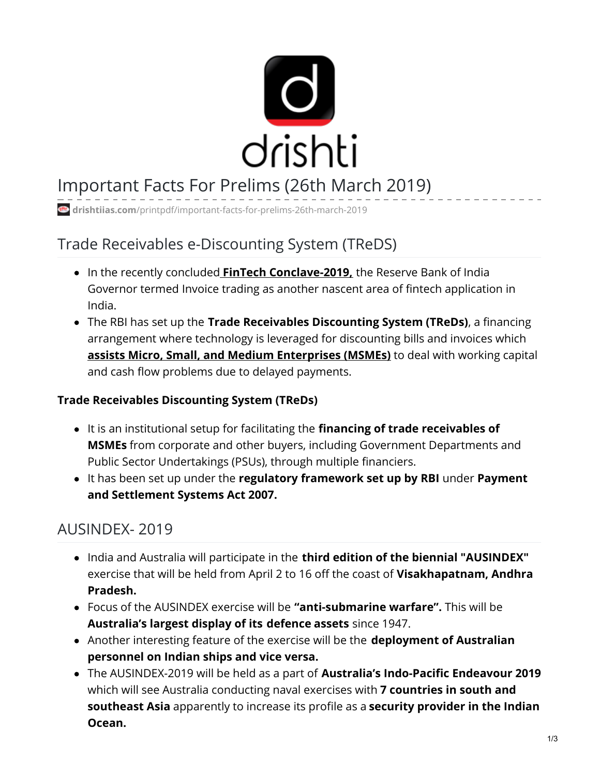

# Important Facts For Prelims (26th March 2019)

**drishtiias.com**[/printpdf/important-facts-for-prelims-26th-march-2019](https://www.drishtiias.com/printpdf/important-facts-for-prelims-26th-march-2019)

# Trade Receivables e-Discounting System (TReDS)

- In the recently concluded **FinTech [Conclave-2019,](https://www.drishtiias.com/daily-updates/daily-news-analysis/fintech-conclave-2019)** the Reserve Bank of India Governor termed Invoice trading as another nascent area of fintech application in India.
- The RBI has set up the **Trade Receivables Discounting System (TReDs)**, a financing arrangement where technology is leveraged for discounting bills and invoices which **assists Micro, Small, and Medium [Enterprises](https://www.drishtiias.com/daily-updates/daily-news-analysis/support-and-outreach-initiative-for-msme-sector) (MSMEs)** to deal with working capital and cash flow problems due to delayed payments.

#### **Trade Receivables Discounting System (TReDs)**

- It is an institutional setup for facilitating the **financing of trade receivables of MSMEs** from corporate and other buyers, including Government Departments and Public Sector Undertakings (PSUs), through multiple financiers.
- It has been set up under the **regulatory framework set up by RBI** under **Payment and Settlement Systems Act 2007.**

### AUSINDEX- 2019

- India and Australia will participate in the **third edition of the biennial "AUSINDEX"** exercise that will be held from April 2 to 16 off the coast of **Visakhapatnam, Andhra Pradesh.**
- Focus of the AUSINDEX exercise will be **"anti-submarine warfare".** This will be **Australia's largest display of its defence assets** since 1947.
- Another interesting feature of the exercise will be the **deployment of Australian personnel on Indian ships and vice versa.**
- The AUSINDEX-2019 will be held as a part of **Australia's Indo-Pacific Endeavour 2019** which will see Australia conducting naval exercises with **7 countries in south and southeast Asia** apparently to increase its profile as a **security provider in the Indian Ocean.**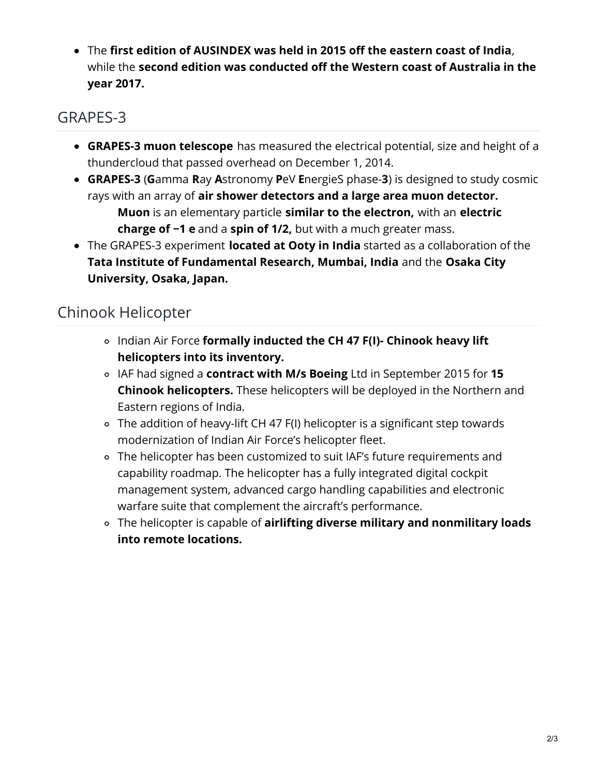The **first edition of AUSINDEX was held in 2015 off the eastern coast of India**, while the **second edition was conducted off the Western coast of Australia in the year 2017.**

# GRAPES-3

- **GRAPES-3 muon telescope** has measured the electrical potential, size and height of a thundercloud that passed overhead on December 1, 2014.
- **GRAPES-3** (**G**amma **R**ay **A**stronomy **P**eV **E**nergieS phase-**3**) is designed to study cosmic rays with an array of **air shower detectors and a large area muon detector. Muon** is an elementary particle **similar to the electron,** with an **electric charge of −1 e** and a **spin of 1/2,** but with a much greater mass.
- The GRAPES-3 experiment **located at Ooty in India** started as a collaboration of the **Tata Institute of Fundamental Research, Mumbai, India** and the **Osaka City University, Osaka, Japan.**

# Chinook Helicopter

- Indian Air Force **formally inducted the CH 47 F(I)- Chinook heavy lift helicopters into its inventory.**
- IAF had signed a **contract with M/s Boeing** Ltd in September 2015 for **15 Chinook helicopters.** These helicopters will be deployed in the Northern and Eastern regions of India.
- The addition of heavy-lift CH 47 F(I) helicopter is a significant step towards modernization of Indian Air Force's helicopter fleet.
- The helicopter has been customized to suit IAF's future requirements and capability roadmap. The helicopter has a fully integrated digital cockpit management system, advanced cargo handling capabilities and electronic warfare suite that complement the aircraft's performance.
- The helicopter is capable of **airlifting diverse military and nonmilitary loads into remote locations.**